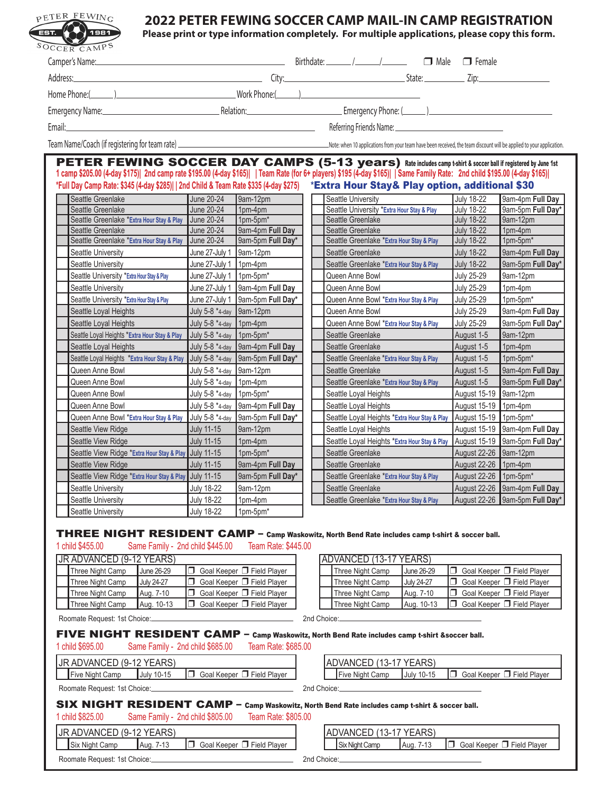| SOCCER CAMPS                                    |                                            |                                                       |                                  |                                                                                                                                                                                                                                                                                                                                                                                                                                             |                                                              |                                                                         |                                        |                                                                                  |
|-------------------------------------------------|--------------------------------------------|-------------------------------------------------------|----------------------------------|---------------------------------------------------------------------------------------------------------------------------------------------------------------------------------------------------------------------------------------------------------------------------------------------------------------------------------------------------------------------------------------------------------------------------------------------|--------------------------------------------------------------|-------------------------------------------------------------------------|----------------------------------------|----------------------------------------------------------------------------------|
| Camper's Name:                                  |                                            |                                                       |                                  |                                                                                                                                                                                                                                                                                                                                                                                                                                             |                                                              |                                                                         |                                        |                                                                                  |
|                                                 |                                            |                                                       |                                  |                                                                                                                                                                                                                                                                                                                                                                                                                                             |                                                              |                                                                         |                                        |                                                                                  |
|                                                 |                                            |                                                       |                                  |                                                                                                                                                                                                                                                                                                                                                                                                                                             |                                                              |                                                                         |                                        |                                                                                  |
|                                                 |                                            |                                                       |                                  |                                                                                                                                                                                                                                                                                                                                                                                                                                             |                                                              |                                                                         |                                        |                                                                                  |
|                                                 |                                            |                                                       |                                  | Emergency Name: <u>Contract Communication</u> Relation: Communication: Communication: Communication: Communication: Communication: Communication: Communication: Communication: Communication: Communication: Communication: Commun                                                                                                                                                                                                         |                                                              |                                                                         |                                        |                                                                                  |
| Email:                                          |                                            |                                                       |                                  | <u> 1980 - Johann Barbara, martxa alemaniar amerikan basar da a</u>                                                                                                                                                                                                                                                                                                                                                                         |                                                              |                                                                         |                                        |                                                                                  |
|                                                 |                                            |                                                       |                                  |                                                                                                                                                                                                                                                                                                                                                                                                                                             |                                                              |                                                                         |                                        |                                                                                  |
|                                                 |                                            |                                                       |                                  |                                                                                                                                                                                                                                                                                                                                                                                                                                             |                                                              |                                                                         |                                        |                                                                                  |
|                                                 |                                            |                                                       |                                  | <b>PETER FEWING SOCCER DAY CAMPS (5-13 years)</b> Rate includes camp t-shirt & soccer ball if registered by June 1st<br>1 camp \$205.00 (4-day \$175)  2nd camp rate \$195.00 (4-day \$165)    Team Rate (for 6+ players) \$195 (4-day \$165)    Same Family Rate: 2nd child \$195.00 (4-day \$165) <br>*Full Day Camp Rate: \$345 (4-day \$285)  2nd Child & Team Rate \$335 (4-day \$275) *Extra Hour Stay & Play option, additional \$30 |                                                              |                                                                         |                                        |                                                                                  |
| Seattle Greenlake                               |                                            |                                                       | June 20-24                       | 9am-12pm                                                                                                                                                                                                                                                                                                                                                                                                                                    | Seattle University                                           |                                                                         | <b>July 18-22</b>                      | 9am-4pm Full Day                                                                 |
| Seattle Greenlake                               |                                            |                                                       | <b>June 20-24</b>                | 1pm-4pm                                                                                                                                                                                                                                                                                                                                                                                                                                     | Seattle University *Extra Hour Stay & Play                   |                                                                         | <b>July 18-22</b>                      | 9am-5pm Full Day*                                                                |
|                                                 |                                            | Seattle Greenlake *Extra Hour Stay & Play June 20-24  |                                  | 1pm-5pm*                                                                                                                                                                                                                                                                                                                                                                                                                                    | Seattle Greenlake                                            |                                                                         | <b>July 18-22</b>                      | 9am-12pm                                                                         |
| Seattle Greenlake                               |                                            |                                                       | June 20-24                       | 9am-4pm Full Day                                                                                                                                                                                                                                                                                                                                                                                                                            | Seattle Greenlake                                            |                                                                         | <b>July 18-22</b>                      | 1pm-4pm                                                                          |
|                                                 |                                            | Seattle Greenlake *Extra Hour Stay & Play             | <b>June 20-24</b>                | 9am-5pm Full Day*                                                                                                                                                                                                                                                                                                                                                                                                                           | Seattle Greenlake *Extra Hour Stay & Play                    |                                                                         | <b>July 18-22</b>                      | 1pm-5pm*                                                                         |
| <b>Seattle University</b><br>Seattle University |                                            |                                                       | June 27-July 1                   | 9am-12pm<br>1pm-4pm                                                                                                                                                                                                                                                                                                                                                                                                                         | Seattle Greenlake                                            |                                                                         | <b>July 18-22</b><br><b>July 18-22</b> | 9am-4pm Full Day<br>9am-5pm Full Day*                                            |
|                                                 |                                            |                                                       | June 27-July 1                   | $1$ pm-5pm $*$                                                                                                                                                                                                                                                                                                                                                                                                                              | Seattle Greenlake *Extra Hour Stay & Play<br>Queen Anne Bowl |                                                                         | <b>July 25-29</b>                      | 9am-12pm                                                                         |
| Seattle University                              | Seattle University *Extra Hour Stay & Play |                                                       | June 27-July 1                   |                                                                                                                                                                                                                                                                                                                                                                                                                                             | Queen Anne Bowl                                              |                                                                         | <b>July 25-29</b>                      |                                                                                  |
|                                                 | Seattle University *Extra Hour Stay & Play |                                                       | June 27-July 1<br>June 27-July 1 | 9am-4pm Full Day<br>9am-5pm Full Day*                                                                                                                                                                                                                                                                                                                                                                                                       | Queen Anne Bowl *Extra Hour Stay & Play                      |                                                                         | <b>July 25-29</b>                      | 1pm-4pm<br>1pm-5pm*                                                              |
|                                                 | Seattle Loyal Heights                      |                                                       | July 5-8 *4-day 9am-12pm         |                                                                                                                                                                                                                                                                                                                                                                                                                                             | Queen Anne Bowl                                              |                                                                         | <b>July 25-29</b>                      | 9am-4pm Full Day                                                                 |
|                                                 | Seattle Loyal Heights                      |                                                       | July 5-8 *4-day 1pm-4pm          |                                                                                                                                                                                                                                                                                                                                                                                                                                             | Queen Anne Bowl *Extra Hour Stay & Play                      |                                                                         | <b>July 25-29</b>                      | 9am-5pm Full Day*                                                                |
|                                                 |                                            | Seattle Loyal Heights *Extra Hour Stay & Play         | July 5-8 *4-day                  | 1pm-5pm*                                                                                                                                                                                                                                                                                                                                                                                                                                    | Seattle Greenlake                                            |                                                                         | August 1-5                             | 9am-12pm                                                                         |
|                                                 | Seattle Loyal Heights                      |                                                       | July 5-8 *4-day                  | 9am-4pm Full Day                                                                                                                                                                                                                                                                                                                                                                                                                            | Seattle Greenlake                                            |                                                                         | August 1-5                             | 1pm-4pm                                                                          |
|                                                 |                                            | Seattle Loyal Heights *Extra Hour Stay & Play         | July 5-8 *4-day                  | 9am-5pm Full Day*                                                                                                                                                                                                                                                                                                                                                                                                                           | Seattle Greenlake *Extra Hour Stay & Play                    |                                                                         | August 1-5                             | 1pm-5pm*                                                                         |
| Queen Anne Bowl                                 |                                            |                                                       | July 5-8 *4-day                  | 9am-12pm                                                                                                                                                                                                                                                                                                                                                                                                                                    | Seattle Greenlake                                            |                                                                         | August 1-5                             | 9am-4pm Full Day                                                                 |
| Queen Anne Bowl                                 |                                            |                                                       | July 5-8 *4-day                  | $1pm-4pm$                                                                                                                                                                                                                                                                                                                                                                                                                                   | Seattle Greenlake *Extra Hour Stay & Play                    |                                                                         | August 1-5                             | 9am-5pm Full Day*                                                                |
| Queen Anne Bowl                                 |                                            |                                                       | July 5-8 *4-day 1pm-5pm*         |                                                                                                                                                                                                                                                                                                                                                                                                                                             | Seattle Loyal Heights                                        |                                                                         | August 15-19 9am-12pm                  |                                                                                  |
| Queen Anne Bowl                                 |                                            |                                                       | July 5-8 *4-day                  | 9am-4pm Full Day                                                                                                                                                                                                                                                                                                                                                                                                                            | Seattle Loyal Heights                                        |                                                                         | August 15-19 1pm-4pm                   |                                                                                  |
|                                                 |                                            | Queen Anne Bowl *Extra Hour Stay & Play               | July 5-8 *4-day                  | 9am-5pm Full Day*                                                                                                                                                                                                                                                                                                                                                                                                                           |                                                              | Seattle Loyal Heights *Extra Hour Stay & Play   August 15-19   1pm-5pm* |                                        |                                                                                  |
|                                                 | Seattle View Ridge                         |                                                       | <b>July 11-15</b>                | 9am-12pm                                                                                                                                                                                                                                                                                                                                                                                                                                    | Seattle Loyal Heights                                        |                                                                         |                                        | August 15-19 9am-4pm Full Day                                                    |
|                                                 | Seattle View Ridge                         |                                                       | <b>July 11-15</b>                | 1pm-4pm                                                                                                                                                                                                                                                                                                                                                                                                                                     |                                                              |                                                                         |                                        | Seattle Loyal Heights *Extra Hour Stay & Play   August 15-19   9am-5pm Full Day* |
|                                                 |                                            | Seattle View Ridge *Extra Hour Stay & Play July 11-15 |                                  | 1pm-5pm*                                                                                                                                                                                                                                                                                                                                                                                                                                    | Seattle Greenlake                                            |                                                                         | August 22-26 9am-12pm                  |                                                                                  |
|                                                 | Seattle View Ridge                         |                                                       | <b>July 11-15</b>                | 9am-4pm Full Day                                                                                                                                                                                                                                                                                                                                                                                                                            | Seattle Greenlake                                            |                                                                         | August 22-26 1pm-4pm                   |                                                                                  |
|                                                 |                                            | Seattle View Ridge *Extra Hour Stay & Play            | <b>July 11-15</b>                | 9am-5pm Full Day*                                                                                                                                                                                                                                                                                                                                                                                                                           | Seattle Greenlake *Extra Hour Stay & Play                    |                                                                         | August 22-26 1pm-5pm*                  |                                                                                  |
| Seattle University                              |                                            |                                                       | <b>July 18-22</b>                | 9am-12pm                                                                                                                                                                                                                                                                                                                                                                                                                                    | Seattle Greenlake                                            |                                                                         |                                        | August 22-26 9am-4pm Full Day                                                    |
| Seattle University                              |                                            |                                                       | <b>July 18-22</b>                | 1pm-4pm                                                                                                                                                                                                                                                                                                                                                                                                                                     | Seattle Greenlake *Extra Hour Stay & Play                    |                                                                         |                                        | August 22-26   9am-5pm Full Day*                                                 |
| Seattle University                              |                                            |                                                       | <b>July 18-22</b>                | 1pm-5pm*                                                                                                                                                                                                                                                                                                                                                                                                                                    |                                                              |                                                                         |                                        |                                                                                  |
| 1 child \$455.00                                |                                            | Same Family - 2nd child \$445.00                      |                                  | THREE NIGHT RESIDENT CAMP - Camp Waskowitz, North Bend Rate includes camp t-shirt & soccer ball.<br>Team Rate: \$445.00                                                                                                                                                                                                                                                                                                                     |                                                              |                                                                         |                                        |                                                                                  |
| JR ADVANCED (9-12 YEARS)                        |                                            |                                                       |                                  |                                                                                                                                                                                                                                                                                                                                                                                                                                             | ADVANCED (13-17 YEARS)                                       |                                                                         |                                        |                                                                                  |
| Three Night Camp                                |                                            | June 26-29                                            | $\Box$                           | Goal Keeper <b>J</b> Field Player                                                                                                                                                                                                                                                                                                                                                                                                           | Three Night Camp                                             | June 26-29                                                              | 0                                      | Goal Keeper <b>J</b> Field Player                                                |
| Three Night Camp                                |                                            | <b>July 24-27</b>                                     | σ                                | Goal Keeper <b>J</b> Field Player                                                                                                                                                                                                                                                                                                                                                                                                           | Three Night Camp                                             | <b>July 24-27</b>                                                       | 0                                      | Goal Keeper <b>J</b> Field Player                                                |
|                                                 | Three Night Camp                           | Aug. 7-10                                             | σ.                               | Goal Keeper □ Field Player                                                                                                                                                                                                                                                                                                                                                                                                                  | Three Night Camp                                             | Aug. 7-10                                                               | O.                                     | Goal Keeper □ Field Player                                                       |

Roomate Request: 1st Choice: 2nd Choice: 2nd Choice: 2nd Choice: 2nd Choice: 2nd Choice:

## FIVE NIGHT RESIDENT CAMP – Camp Waskowitz, North Bend Rate includes camp t-shirt &soccer ball.

| 1 child \$695.00<br>Same Family - 2nd child \$685.00                 | Team Rate: \$685.00 | <u>against compute college can excellent course intermediate against a given a manager weille</u> |            |                              |
|----------------------------------------------------------------------|---------------------|---------------------------------------------------------------------------------------------------|------------|------------------------------|
| JR ADVANCED (9-12 YEARS)                                             |                     | ADVANCED (13-17 YEARS)                                                                            |            |                              |
| □ Goal Keeper □ Field Plaver<br>Five Night Camp<br><b>July 10-15</b> |                     | Five Night Camp                                                                                   | July 10-15 | □ Goal Keeper □ Field Player |
| Roomate Request: 1st Choice:                                         |                     | 2nd Choice:                                                                                       |            |                              |
|                                                                      |                     |                                                                                                   |            |                              |

|         | IADVANCED (13-17 YEARS) |                                                                               |
|---------|-------------------------|-------------------------------------------------------------------------------|
|         | Five Night Camp         | $\vert$ July 10-15 $\vert \vert \vert$ Goal Keeper $\vert \vert$ Field Player |
| _______ |                         |                                                                               |

|                          |                                  |                     | SIX NIGHT RESIDENT CAMP - Camp Waskowitz, North Bend Rate includes camp t-shirt & soccer ball. |
|--------------------------|----------------------------------|---------------------|------------------------------------------------------------------------------------------------|
| 1 child \$825.00         | Same Family - 2nd child \$805.00 | Team Rate: \$805.00 |                                                                                                |
| JR ADVANCED (9-12 YEARS) |                                  |                     | ADVANCED (13-17 YEARS)                                                                         |

| .<br>Camp<br>Ninht<br><b>SIX</b><br>wu | 1 Aua<br>.<br>. . | 'aana:<br>nai<br>www | $\overline{\phantom{0}}$<br><b>Plaver</b><br>-ield |  | Camp<br>Niahi<br>$\sim$<br>ື | l Aug | . | , gano<br>oal.<br>. | منطق ط<br>טוטו | Player |  |
|----------------------------------------|-------------------|----------------------|----------------------------------------------------|--|------------------------------|-------|---|---------------------|----------------|--------|--|

| Roomate Request: 1st Choice: | 2nd Choice: |
|------------------------------|-------------|
|                              |             |